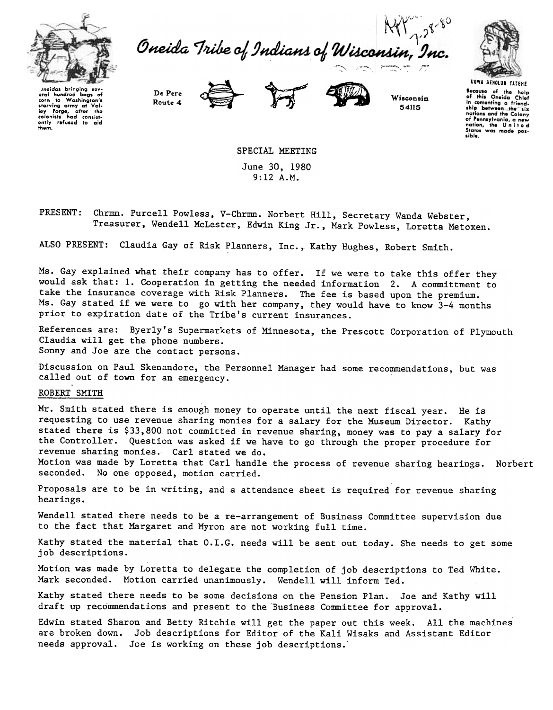

Oneida Tribe of Indians of Wisconsin, Inc.



proides bringing soveral hundred bags of<br>corn to Washington's<br>starving ormy at Val-<br>loy forge, ofter the<br>colonists had consist-<br>entity rafused to oid<br>thom.

De Pere Route 4





Wisconsin 54115

Bocause of the help<br>of this Oneida Chief or mis Oneida Chief<br>in cementing a friend-<br>ship between\_the<sup>rrig</sup>six<br>nations and the Colony nations and the Colony<br>of Pennsylvania, a new<br>nation, the United nation, the United sible.

SPECIAL MEETING June 30, 1980 9:12 A.M.

Chrmn. Purcell Powless, V-Chrmn. Norbert Hill, Secretary Wanda Webster, PRESENT: Treasurer, Wendell McLester, Edwin King Jr., Mark Powless, Loretta Metoxen.

ALSO PRESENT: Claudia Gay of Risk Planners, Inc., Kathy Hughes, Robert Smith.

Ms. Gay explained what their company has to offer. If we were to take this offer they would ask that: 1. Cooperation in getting the needed information 2. A committment to take the insurance coverage with Risk Planners. The fee is based upon the premium. Ms. Gay stated if we were to go with her company, they would have to know 3-4 months prior to expiration date of the Tribe's current insurances.

References are: Byerly's Supermarkets of Minnesota, the Prescott Corporation of Plymouth Claudia will get the phone numbers. Sonny and Joe are the contact persons.

Discussion on Paul Skenandore, the Personnel Manager had some recommendations, but was called out of town for an emergency. '

## ROBERT SMITH

Mr. Smith stated there is enough money to operate until the next fiscal year. He is requesting to use revenue sharing monies for a salary for the Museum Director. Kathy stated there is \$33,800 not committed in revenue sharing, money was to pay a salary for the Controller. Question was asked if we have to go through the proper procedure for revenue sharing monies. Carl stated we do.

Motion was made by Loretta that Carl handle the process of revenue sharing hearings. Norbert seconded. No one opposed, motion carried.

Proposals are to be in writing, and a attendance sheet is required for revenue sharing hearings.

Wendell stated there needs to be a re-arrangement of Business Committee supervision due to the fact that Margaret and Myron are not working full time.

Kathy stated the material that O.I.G. needs will be sent out today. She needs to get some job descriptions.

Motion was made by Loretta to delegate the completion of job descriptions to Ted White. Mark seconded. Motion carried unanimously. Wendell will inform Ted.

Kathy stated there needs to be some decisions on the Pension Plan. Joe and Kathy will draft up recommendations and present to the Business Committee for approval.

Edwin stated Sharon and Betty Ritchie will get the paper out this week. All the machines are broken down. Job descriptions for Editor of the Kali Wisaks and Assistant Editor needs approval. Joe is working on these job descriptions.